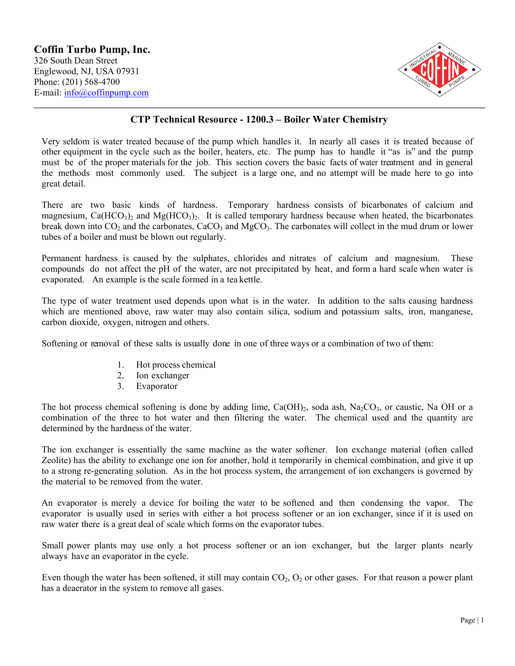

## **CTP Technical Resource - 1200.3 – Boiler Water Chemistry**

Very seldom is water treated because of the pump which handles it. In nearly all cases it is treated because of other equipment in the cycle such as the boiler, heaters, etc. The pump has to handle it "as is" and the pump must be of the proper materials for the job. This section covers the basic facts of water treatment and in general the methods most commonly used. The subject is a large one, and no attempt will be made here to go into great detail.

There are two basic kinds of hardness. Temporary hardness consists of bicarbonates of calcium and magnesium,  $Ca(HCO<sub>3</sub>)<sub>2</sub>$  and  $Mg(HCO<sub>3</sub>)<sub>2</sub>$ . It is called temporary hardness because when heated, the bicarbonates break down into  $CO_2$  and the carbonates,  $CaCO_3$  and  $MgCO_3$ . The carbonates will collect in the mud drum or lower tubes of a boiler and must be blown out regularly.

Permanent hardness is caused by the sulphates, chlorides and nitrates of calcium and magnesium. These compounds do not affect the pH of the water, are not precipitated by heat, and form a hard scale when water is evaporated. An example is the scale formed in a tea kettle.

The type of water treatment used depends upon what is in the water. In addition to the salts causing hardness which are mentioned above, raw water may also contain silica, sodium and potassium salts, iron, manganese, carbon dioxide, oxygen, nitrogen and others.

Softening or removal of these salts is usually done in one of three ways or a combination of two of them:

- 1. Hot process chemical
- 2. Ion exchanger<br>3. Evaporator
- **Evaporator**

The hot process chemical softening is done by adding lime,  $Ca(OH)_2$ , soda ash,  $Na_2CO_3$ , or caustic, Na OH or a combination of the three to hot water and then filtering the water. The chemical used and the quantity are determined by the hardness of the water.

The ion exchanger is essentially the same machine as the water softener. Ion exchange material (often called Zeolite) has the ability to exchange one ion for another, hold it temporarily in chemical combination, and give it up to a strong re-generating solution. As in the hot process system, the arrangement of ion exchangers is governed by the material to be removed from the water.

An evaporator is merely a device for boiling the water to be softened and then condensing the vapor. The evaporator is usually used in series with either a hot process softener or an ion exchanger, since if it is used on raw water there is a great deal of scale which forms on the evaporator tubes.

Small power plants may use only a hot process softener or an ion exchanger, but the larger plants nearly always have an evaporator in the cycle.

Even though the water has been softened, it still may contain  $CO<sub>2</sub>, O<sub>2</sub>$  or other gases. For that reason a power plant has a deaerator in the system to remove all gases.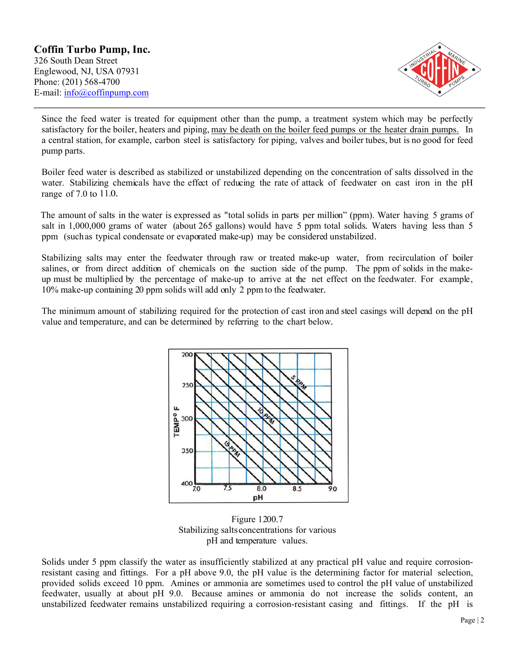

Since the feed water is treated for equipment other than the pump, a treatment system which may be perfectly satisfactory for the boiler, heaters and piping, may be death on the boiler feed pumps or the heater drain pumps. In a central station, for example, carbon steel is satisfactory for piping, valves and boiler tubes, but is no good for feed pump parts.

Boiler feed water is described as stabilized or unstabilized depending on the concentration of salts dissolved in the water. Stabilizing chemicals have the effect of reducing the rate of attack of feedwater on cast iron in the pH range of 7.0 to 11.0.

The amount of salts in the water is expressed as "total solids in parts per million" (ppm). Water having 5 grams of salt in 1,000,000 grams of water (about 265 gallons) would have 5 ppm total solids. Waters having less than 5 ppm (suchas typical condensate or evaporated make-up) may be considered unstabilized.

Stabilizing salts may enter the feedwater through raw or treated make-up water, from recirculation of boiler salines, or from direct addition of chemicals on the suction side of the pump. The ppm of solids in the makeup must be multiplied by the percentage of make-up to arrive at the net effect on the feedwater. For example, 10% make-up containing 20 ppm solids will add only 2 ppm to the feedwater.

The minimum amount of stabilizing required for the protection of cast iron and steel casings will depend on the pH value and temperature, and can be determined by referring to the chart below.



Figure 1200.7 Stabilizing saltsconcentrations for various pH and temperature values.

Solids under 5 ppm classify the water as insufficiently stabilized at any practical pH value and require corrosionresistant casing and fittings. For a pH above 9.0, the pH value is the determining factor for material selection, provided solids exceed 10 ppm. Amines or ammonia are sometimes used to control the pH value of unstabilized feedwater, usually at about pH 9.0. Because amines or ammonia do not increase the solids content, an unstabilized feedwater remains unstabilized requiring a corrosion-resistant casing and fittings. If the pH is